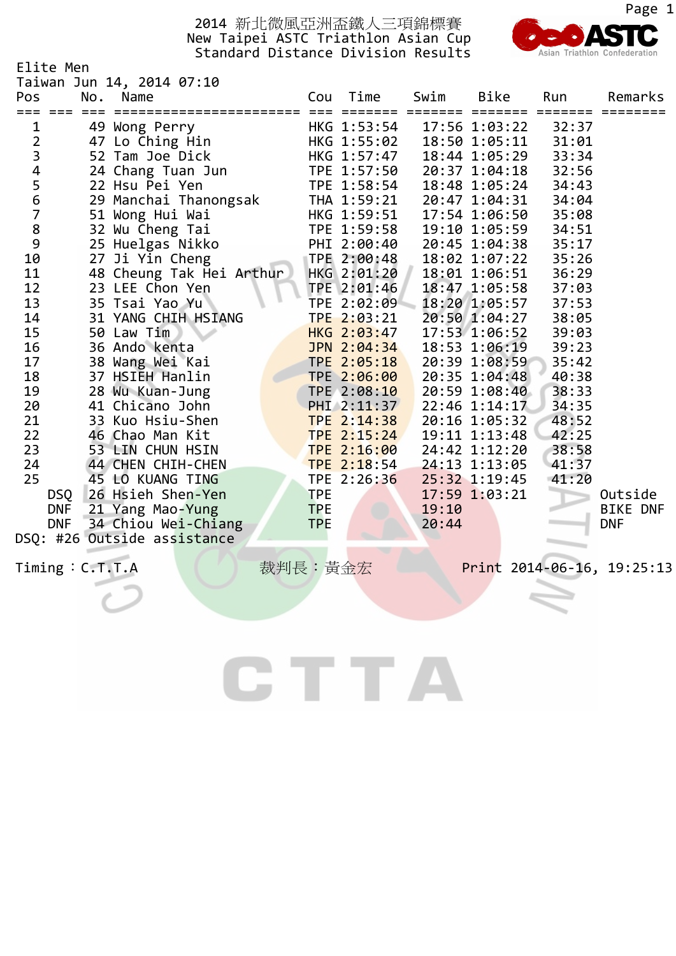

|                                            | Elite Men<br>Taiwan Jun 14, 2014 07:10        |                |                                                                                     |       |                                  |                |                 |
|--------------------------------------------|-----------------------------------------------|----------------|-------------------------------------------------------------------------------------|-------|----------------------------------|----------------|-----------------|
| Pos                                        | Name<br>No.                                   |                | Cou Time                                                                            | Swim  | <b>Bike</b>                      | Run            | Remarks         |
| === ===<br>$\mathbf{1}$                    | ____________________________<br>49 Wong Perry | <b>EEE EEE</b> | HKG 1:53:54                                                                         |       | ======= =======<br>17:56 1:03:22 | 32:37          |                 |
|                                            | 47 Lo Ching Hin                               |                | HKG 1:55:02                                                                         |       | 18:50 1:05:11                    | 31:01          |                 |
|                                            | 52 Tam Joe Dick                               |                | HKG 1:57:47                                                                         |       | 18:44 1:05:29                    | 33:34          |                 |
| $\begin{array}{c} 2 \\ 3 \\ 4 \end{array}$ | 24 Chang Tuan Jun                             |                | TPE 1:57:50                                                                         |       | 20:37 1:04:18                    | 32:56          |                 |
|                                            | 22 Hsu Pei Yen                                |                | TPE 1:58:54                                                                         |       | 18:48 1:05:24                    | 34:43          |                 |
|                                            | 29 Manchai Thanongsak                         |                | THA 1:59:21                                                                         |       | 20:47 1:04:31                    | 34:04          |                 |
|                                            | 51 Wong Hui Wai                               |                | HKG 1:59:51                                                                         |       | 17:54 1:06:50                    | 35:08          |                 |
| 56789                                      | 32 Wu Cheng Tai                               |                | TPE 1:59:58                                                                         |       | 19:10 1:05:59                    | 34:51          |                 |
|                                            | 25 Huelgas Nikko                              |                | PHI 2:00:40                                                                         |       | 20:45 1:04:38                    | 35:17          |                 |
| 10                                         | 27 Ji Yin Cheng                               |                | TPE 2:00:48                                                                         |       | 18:02 1:07:22                    | 35:26          |                 |
| 11                                         | 48 Cheung Tak Hei Arthur                      |                | HKG 2:01:20 18:01 1:06:51<br>TPE 2:01:46 18:47 1:05:58<br>TPE 2:02:09 18:20 1:05:57 |       |                                  | 36:29          |                 |
| 12                                         | 23 LEE Chon Yen                               |                |                                                                                     |       |                                  | 37:03          |                 |
| 13                                         | 35 Tsai Yao Yu                                |                |                                                                                     |       |                                  | 37:53          |                 |
| 14                                         | 31 YANG CHIH HSIANG                           |                | TPE 2:03:21                                                                         |       | 20:50 1:04:27                    | 38:05          |                 |
| 15                                         | 50 Law Tim                                    |                | HKG 2:03:47<br>JPN 2:04:34                                                          |       | 17:53 1:06:52<br>18:53 1:06:19   | 39:03<br>39:23 |                 |
| 16<br>17                                   | 36 Ando kenta                                 |                | TPE 2:05:18                                                                         |       | 20:39 1:08:59                    | 35:42          |                 |
| 18                                         | 38 Wang Wei Kai<br>37 HSIEH Hanlin            |                | TPE 2:06:00                                                                         |       | 20:35 1:04:48                    | 40:38          |                 |
| 19                                         | 28 Wu Kuan-Jung                               |                | TPE 2:08:10                                                                         |       | 20:59 1:08:40                    | 38:33          |                 |
| 20                                         | 41 Chicano John                               |                | $PHI$ 2:11:37                                                                       |       | 22:46 1:14:17                    | 34:35          |                 |
| 21                                         | 33 Kuo Hsiu-Shen                              |                | TPE 2:14:38                                                                         |       | 20:16 1:05:32                    | 48:52          |                 |
| 22                                         | 46 Chao Man Kit                               |                | TPE 2:15:24                                                                         |       | 19:11 1:13:48                    | 42:25          |                 |
| 23                                         | 53 LIN CHUN HSIN                              |                | TPE 2:16:00                                                                         |       | 24:42 1:12:20                    | 38:58          |                 |
| 24                                         | 44 CHEN CHIH-CHEN                             |                | TPE 2:18:54                                                                         |       | 24:13 1:13:05                    | 41:37          |                 |
| 25                                         | 45 LO KUANG TING                              |                | TPE 2:26:36                                                                         |       | 25:32 1:19:45                    | 41:20          |                 |
| <b>DSQ</b>                                 | 26 Hsieh Shen-Yen                             | <b>TPE</b>     |                                                                                     |       | 17:59 1:03:21                    |                | Outside         |
| <b>DNF</b>                                 | 21 Yang Mao-Yung                              | <b>TPE</b>     |                                                                                     | 19:10 |                                  |                | <b>BIKE DNF</b> |
|                                            | DNF 34 Chiou Wei-Chiang                       | <b>TPE</b>     |                                                                                     | 20:44 |                                  |                | <b>DNF</b>      |
|                                            | DSQ: #26 Outside assistance                   |                |                                                                                     |       |                                  |                |                 |

CTTA